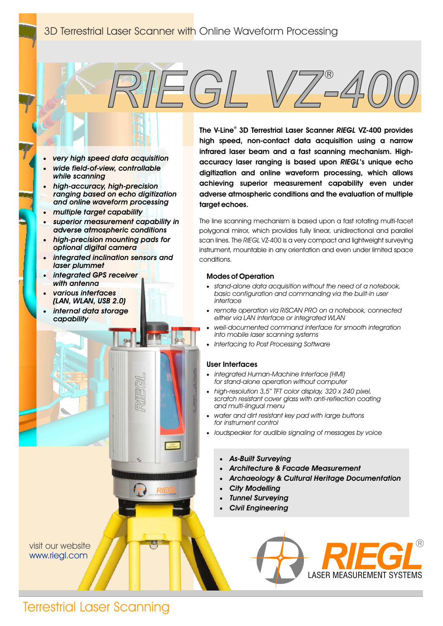*very high speed data acquisition wide field-of-view, controllable while scanning*

*high-accuracy, high-precision ranging based on echo digitization and online waveform processing multiple target capability*

*superior measurement capability in adverse atmospheric conditions high-precision mounting pads for optional digital camera*

*integrated inclination sensors and laser plummet* 

*integrated GPS receiver with antenna*

*various interfaces (LAN, WLAN, USB 2.0) internal data storage capability*

**® The V-Line 3D Terrestrial Laser Scanner** *RIEGL* **VZ-400 provides high speed, non-contact data acquisition using a narrow infrared laser beam and a fast scanning mechanism. Highaccuracy laser ranging is based upon** *RIEGL***'s unique echo digitization and online waveform processing, which allows achieving superior measurement capability even under adverse atmospheric conditions and the evaluation of multiple target echoes.** 

®

*RIEGL VZ-400*

The line scanning mechanism is based upon a fast rotating multi-facet polygonal mirror, which provides fully linear, unidirectional and parallel scan lines. The *RIEGL* VZ-400 is a very compact and lightweight surveying instrument, mountable in any orientation and even under limited space conditions.

#### **Modes of Operation**

*stand-alone data acquisition without the need of a notebook, basic configuration and commanding via the built-in user interface*

*remote operation via RiSCAN PRO on a notebook, connected either via LAN interface or integrated WLAN*

*well-documented command interface for smooth integration into mobile laser scanning systems Interfacing to Post Processing Software*

#### **User Interfaces**

*integrated Human-Machine Interface (HMI) for stand-alone operation without computer*

*high-resolution 3,5" TFT color display, 320 x 240 pixel, scratch resistant cover glass with anti-reflection coating and multi-lingual menu*

*water and dirt resistant key pad with large buttons for instrument control*

*loudspeaker for audible signaling of messages by voice*

*As-Built Surveying Architecture & Facade Measurement Archaeology & Cultural Heritage Documentation City Modelling Tunnel Surveying Civil Engineering*



visit our website www.riegl.com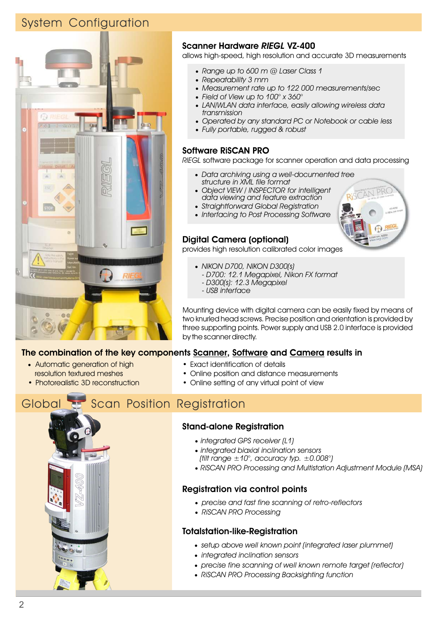# System Configuration



## **Scanner Hardware** *RIEGL* **VZ-400**

allows high-speed, high resolution and accurate 3D measurements

*Range up to 600 m @ Laser Class 1 Repeatability 3 mm Measurement rate up to 122 000 measurements/sec Field of View up to 100° x 360° LAN/WLAN data interface, easily allowing wireless data transmission Operated by any standard PC or Notebook or cable less Fully portable, rugged & robust*

### **Software RiSCAN PRO**

*RIEGL* software package for scanner operation and data processing

*Data archiving using a well-documented tree structure in XML file format Object VIEW / INSPECTOR for intelligent data viewing and feature extraction Straightforward Global Registration Interfacing to Post Processing Software*



# **Digital Camera (optional)**

provides high resolution calibrated color images

- *NIKON D700, NIKON D300(s)*
- *D700: 12.1 Megapixel, Nikon FX format*
- *D300(s): 12.3 Megapixel*
- *USB interface*

Mounting device with digital camera can be easily fixed by means of two knurled head screws. Precise position and orientation is provided by three supporting points. Power supply and USB 2.0 interface is provided by the scanner directly.

## **The combination of the key components Scanner, Software and Camera results in**

Automatic generation of high **•** Exact identification of details •resolution textured meshes •Online position and distance measurements Photorealistic 3D reconstruction •Online setting of any virtual point of view

# Global Scan Position Registration



### **Stand-alone Registration**

*integrated GPS receiver (L1) integrated biaxial inclination sensors (tilt range* ±*10°, accuracy typ.* ±*0.008°) RiSCAN PRO Processing and Multistation Adjustment Module (MSA)*

### **Registration via control points**

*precise and fast fine scanning of retro-reflectors RiSCAN PRO Processing*

### **Totalstation-like-Registration**

*setup above well known point (integrated laser plummet) integrated inclination sensors precise fine scanning of well known remote target (reflector) RiSCAN PRO Processing Backsighting function*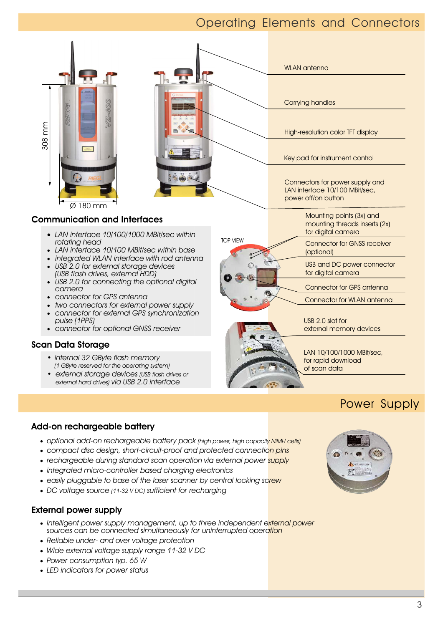# Operating Elements and Connectors



High-resolution color TFT display Key pad for instrument control Carrying handles WI AN antenna Connectors for power supply and LAN interface 10/100 MBit/sec, power off/on button

## **Communication and Interfaces**

*LAN interface 10/100/1000 MBit/sec within rotating head*

*LAN interface 10/100 MBit/sec within base integrated WLAN interface with rod antenna USB 2.0 for external storage devices (USB flash drives, external HDD) USB 2.0 for connecting the optional digital camera connector for GPS antenna two connectors for external power supply connector for external GPS synchronization pulse (1PPS) connector for optional GNSS receiver*

## **Scan Data Storage**

- •*internal 32 GByte flash memory*
- •*(1 GByte reserved for the operating system) external storage devices (USB flash drives or external hard drives) via USB 2.0 interface*



# Power Supply

### **Add-on rechargeable battery**

*optional add-on rechargeable battery pack (high power, high capacity NiMH cells) compact disc design, short-circuit-proof and protected connection pins rechargeable during standard scan operation via external power supply integrated micro-controller based charging electronics easily pluggable to base of the laser scanner by central locking screw DC voltage source (11-32 V DC) sufficient for recharging* 

### **External power supply**

Intelligent power supply management, up to three independent external power *sources can be connected simultaneously for uninterrupted operation Reliable under- and over voltage protection Wide external voltage supply range 11-32 V DC Power consumption typ. 65 W LED indicators for power status*